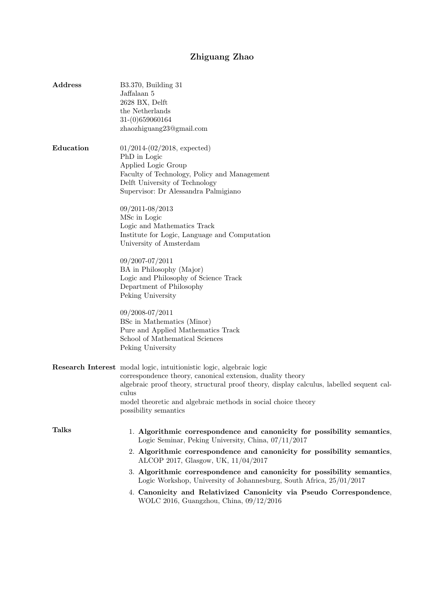## Zhiguang Zhao

| Address      | B3.370, Building 31<br>Jaffalaan 5<br>2628 BX, Delft<br>the Netherlands<br>31-(0)659060164<br>zhaozhiguang23@gmail.com                                                                                                                                                                                                            |
|--------------|-----------------------------------------------------------------------------------------------------------------------------------------------------------------------------------------------------------------------------------------------------------------------------------------------------------------------------------|
| Education    | $01/2014-(02/2018, expected)$<br>PhD in Logic<br>Applied Logic Group<br>Faculty of Technology, Policy and Management<br>Delft University of Technology<br>Supervisor: Dr Alessandra Palmigiano                                                                                                                                    |
|              | 09/2011-08/2013<br>MSc in Logic<br>Logic and Mathematics Track<br>Institute for Logic, Language and Computation<br>University of Amsterdam                                                                                                                                                                                        |
|              | 09/2007-07/2011<br>BA in Philosophy (Major)<br>Logic and Philosophy of Science Track<br>Department of Philosophy<br>Peking University                                                                                                                                                                                             |
|              | 09/2008-07/2011<br>BSc in Mathematics (Minor)<br>Pure and Applied Mathematics Track<br>School of Mathematical Sciences<br>Peking University                                                                                                                                                                                       |
|              | Research Interest modal logic, intuitionistic logic, algebraic logic<br>correspondence theory, canonical extension, duality theory<br>algebraic proof theory, structural proof theory, display calculus, labelled sequent cal-<br>culus<br>model theoretic and algebraic methods in social choice theory<br>possibility semantics |
| <b>Talks</b> | 1. Algorithmic correspondence and canonicity for possibility semantics,<br>Logic Seminar, Peking University, China, 07/11/2017                                                                                                                                                                                                    |
|              | 2. Algorithmic correspondence and canonicity for possibility semantics,<br>ALCOP 2017, Glasgow, UK, 11/04/2017                                                                                                                                                                                                                    |
|              | 3. Algorithmic correspondence and canonicity for possibility semantics,<br>Logic Workshop, University of Johannesburg, South Africa, 25/01/2017                                                                                                                                                                                   |
|              | 4. Canonicity and Relativized Canonicity via Pseudo Correspondence,                                                                                                                                                                                                                                                               |

WOLC 2016, Guangzhou, China, 09/12/2016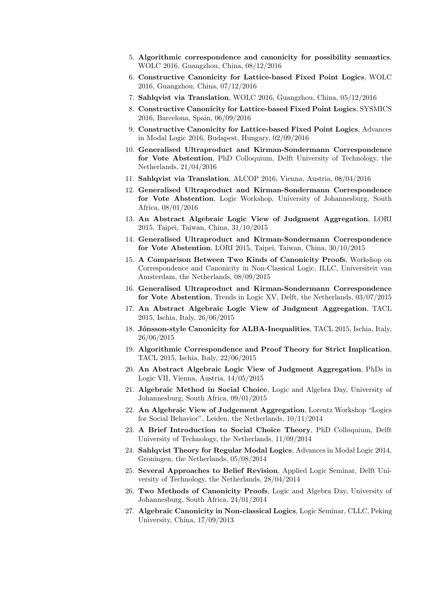- 5. Algorithmic correspondence and canonicity for possibility semantics, WOLC 2016, Guangzhou, China, 08/12/2016
- 6. Constructive Canonicity for Lattice-based Fixed Point Logics, WOLC 2016, Guangzhou, China, 07/12/2016
- 7. Sahlqvist via Translation, WOLC 2016, Guangzhou, China, 05/12/2016
- 8. Constructive Canonicity for Lattice-based Fixed Point Logics, SYSMICS 2016, Barcelona, Spain, 06/09/2016
- 9. Constructive Canonicity for Lattice-based Fixed Point Logics, Advances in Modal Logic 2016, Budapest, Hungary, 02/09/2016
- 10. Generalised Ultraproduct and Kirman-Sondermann Correspondence for Vote Abstention, PhD Colloquium, Delft University of Technology, the Netherlands, 21/04/2016
- 11. Sahlqvist via Translation, ALCOP 2016, Vienna, Austria, 08/04/2016
- 12. Generalised Ultraproduct and Kirman-Sondermann Correspondence for Vote Abstention, Logic Workshop, University of Johannesburg, South Africa, 08/01/2016
- 13. An Abstract Algebraic Logic View of Judgment Aggregation, LORI 2015, Taipei, Taiwan, China, 31/10/2015
- 14. Generalised Ultraproduct and Kirman-Sondermann Correspondence for Vote Abstention, LORI 2015, Taipei, Taiwan, China, 30/10/2015
- 15. A Comparison Between Two Kinds of Canonicity Proofs, Workshop on Correspondence and Canonicity in Non-Classical Logic, ILLC, Universiteit van Amsterdam, the Netherlands, 08/09/2015
- 16. Generalised Ultraproduct and Kirman-Sondermann Correspondence for Vote Abstention, Trends in Logic XV, Delft, the Netherlands, 03/07/2015
- 17. An Abstract Algebraic Logic View of Judgment Aggregation, TACL 2015, Ischia, Italy, 26/06/2015
- 18. Jónsson-style Canonicity for ALBA-Inequalities, TACL 2015, Ischia, Italy, 26/06/2015
- 19. Algorithmic Correspondence and Proof Theory for Strict Implication, TACL 2015, Ischia, Italy, 22/06/2015
- 20. An Abstract Algebraic Logic View of Judgment Aggregation, PhDs in Logic VII, Vienna, Austria, 14/05/2015
- 21. Algebraic Method in Social Choice, Logic and Algebra Day, University of Johannesburg, South Africa, 09/01/2015
- 22. An Algebraic View of Judgement Aggregation, Lorentz Workshop "Logics for Social Behavior", Leiden, the Netherlands, 10/11/2014
- 23. A Brief Introduction to Social Choice Theory, PhD Colloquium, Delft University of Technology, the Netherlands, 11/09/2014
- 24. Sahlqvist Theory for Regular Modal Logics, Advances in Modal Logic 2014, Groningen, the Netherlands, 05/08/2014
- 25. Several Approaches to Belief Revision, Applied Logic Seminar, Delft University of Technology, the Netherlands, 28/04/2014
- 26. Two Methods of Canonicity Proofs, Logic and Algebra Day, University of Johannesburg, South Africa, 24/01/2014
- 27. Algebraic Canonicity in Non-classical Logics, Logic Seminar, CLLC, Peking University, China, 17/09/2013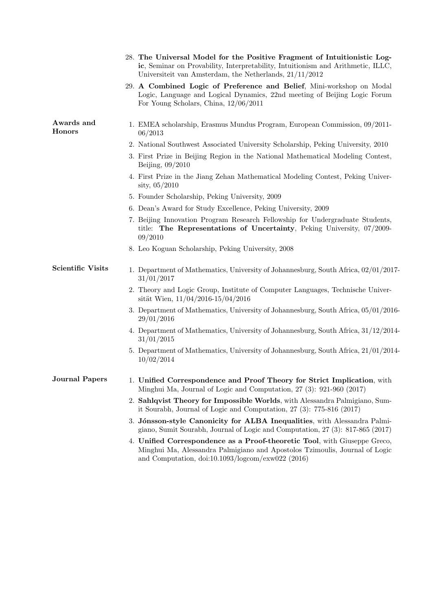|                          | 28. The Universal Model for the Positive Fragment of Intuitionistic Log-<br>ic, Seminar on Provability, Interpretability, Intuitionism and Arithmetic, ILLC,<br>Universiteit van Amsterdam, the Netherlands, $21/11/2012$ |
|--------------------------|---------------------------------------------------------------------------------------------------------------------------------------------------------------------------------------------------------------------------|
|                          | 29. A Combined Logic of Preference and Belief, Mini-workshop on Modal<br>Logic, Language and Logical Dynamics, 22nd meeting of Beijing Logic Forum<br>For Young Scholars, China, $12/06/2011$                             |
| Awards and<br>Honors     | 1. EMEA scholarship, Erasmus Mundus Program, European Commission, 09/2011-<br>06/2013                                                                                                                                     |
|                          | 2. National Southwest Associated University Scholarship, Peking University, 2010                                                                                                                                          |
|                          | 3. First Prize in Beijing Region in the National Mathematical Modeling Contest,<br>Beijing, $09/2010$                                                                                                                     |
|                          | 4. First Prize in the Jiang Zehan Mathematical Modeling Contest, Peking Univer-<br>sity, $05/2010$                                                                                                                        |
|                          | 5. Founder Scholarship, Peking University, 2009                                                                                                                                                                           |
|                          | 6. Dean's Award for Study Excellence, Peking University, 2009                                                                                                                                                             |
|                          | 7. Beijing Innovation Program Research Fellowship for Undergraduate Students,<br>title: The Representations of Uncertainty, Peking University, 07/2009-<br>09/2010                                                        |
|                          | 8. Leo Koguan Scholarship, Peking University, 2008                                                                                                                                                                        |
| <b>Scientific Visits</b> | 1. Department of Mathematics, University of Johannesburg, South Africa, 02/01/2017-<br>31/01/2017                                                                                                                         |
|                          | 2. Theory and Logic Group, Institute of Computer Languages, Technische Univer-<br>sität Wien, $11/04/2016 - 15/04/2016$                                                                                                   |
|                          | 3. Department of Mathematics, University of Johannesburg, South Africa, 05/01/2016-<br>29/01/2016                                                                                                                         |
|                          | 4. Department of Mathematics, University of Johannesburg, South Africa, 31/12/2014-<br>31/01/2015                                                                                                                         |
|                          | 5. Department of Mathematics, University of Johannesburg, South Africa, 21/01/2014-<br>10/02/2014                                                                                                                         |
| Journal Papers           | 1. Unified Correspondence and Proof Theory for Strict Implication, with<br>Minghui Ma, Journal of Logic and Computation, 27 (3): 921-960 (2017)                                                                           |
|                          | 2. Sahlqvist Theory for Impossible Worlds, with Alessandra Palmigiano, Sum-<br>it Sourabh, Journal of Logic and Computation, $27$ (3): $775-816$ (2017)                                                                   |
|                          | 3. Jónsson-style Canonicity for ALBA Inequalities, with Alessandra Palmi-<br>giano, Sumit Sourabh, Journal of Logic and Computation, 27 (3): 817-865 (2017)                                                               |
|                          | 4. Unified Correspondence as a Proof-theoretic Tool, with Giuseppe Greco,<br>Minghui Ma, Alessandra Palmigiano and Apostolos Tzimoulis, Journal of Logic<br>and Computation, doi:10.1093/logcom/exw022 (2016)             |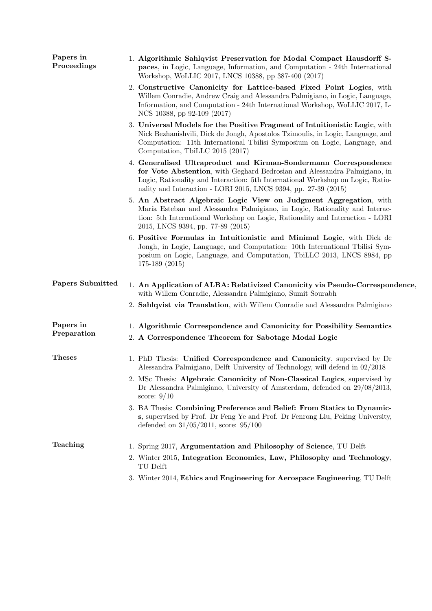| Papers in<br>Proceedings | 1. Algorithmic Sahlqvist Preservation for Modal Compact Hausdorff S-<br>paces, in Logic, Language, Information, and Computation - 24th International<br>Workshop, WoLLIC 2017, LNCS 10388, pp 387-400 (2017)                                                                                        |
|--------------------------|-----------------------------------------------------------------------------------------------------------------------------------------------------------------------------------------------------------------------------------------------------------------------------------------------------|
|                          | 2. Constructive Canonicity for Lattice-based Fixed Point Logics, with<br>Willem Conradie, Andrew Craig and Alessandra Palmigiano, in Logic, Language,<br>Information, and Computation - 24th International Workshop, WoLLIC 2017, L-<br>NCS 10388, pp 92-109 (2017)                                 |
|                          | 3. Universal Models for the Positive Fragment of Intuitionistic Logic, with<br>Nick Bezhanishvili, Dick de Jongh, Apostolos Tzimoulis, in Logic, Language, and<br>Computation: 11th International Tbilisi Symposium on Logic, Language, and<br>Computation, TbiLLC 2015 (2017)                      |
|                          | 4. Generalised Ultraproduct and Kirman-Sondermann Correspondence<br>for Vote Abstention, with Geghard Bedrosian and Alessandra Palmigiano, in<br>Logic, Rationality and Interaction: 5th International Workshop on Logic, Ratio-<br>nality and Interaction - LORI 2015, LNCS 9394, pp. 27-39 (2015) |
|                          | 5. An Abstract Algebraic Logic View on Judgment Aggregation, with<br>María Esteban and Alessandra Palmigiano, in Logic, Rationality and Interac-<br>tion: 5th International Workshop on Logic, Rationality and Interaction - LORI<br>2015, LNCS 9394, pp. 77-89 (2015)                              |
|                          | 6. Positive Formulas in Intuitionistic and Minimal Logic, with Dick de<br>Jongh, in Logic, Language, and Computation: 10th International Tbilisi Sym-<br>posium on Logic, Language, and Computation, TbiLLC 2013, LNCS 8984, pp<br>$175-189$ $(2015)$                                               |
| Papers Submitted         | 1. An Application of ALBA: Relativized Canonicity via Pseudo-Correspondence.<br>with Willem Conradie, Alessandra Palmigiano, Sumit Sourabh                                                                                                                                                          |
|                          | 2. Sahlqvist via Translation, with Willem Conradie and Alessandra Palmigiano                                                                                                                                                                                                                        |
| Papers in<br>Preparation | 1. Algorithmic Correspondence and Canonicity for Possibility Semantics<br>2. A Correspondence Theorem for Sabotage Modal Logic                                                                                                                                                                      |
| <b>Theses</b>            | 1. PhD Thesis: Unified Correspondence and Canonicity, supervised by Dr<br>Alessandra Palmigiano, Delft University of Technology, will defend in 02/2018                                                                                                                                             |
|                          | 2. MSc Thesis: Algebraic Canonicity of Non-Classical Logics, supervised by<br>Dr Alessandra Palmigiano, University of Amsterdam, defended on 29/08/2013,<br>score: $9/10$                                                                                                                           |
|                          | 3. BA Thesis: Combining Preference and Belief: From Statics to Dynamic-<br>s, supervised by Prof. Dr Feng Ye and Prof. Dr Fenrong Liu, Peking University,<br>defended on $31/05/2011$ , score: $95/100$                                                                                             |
| Teaching                 | 1. Spring 2017, Argumentation and Philosophy of Science, TU Delft                                                                                                                                                                                                                                   |
|                          | 2. Winter 2015, Integration Economics, Law, Philosophy and Technology,<br>TU Delft                                                                                                                                                                                                                  |
|                          | 3. Winter 2014, Ethics and Engineering for Aerospace Engineering, TU Delft                                                                                                                                                                                                                          |